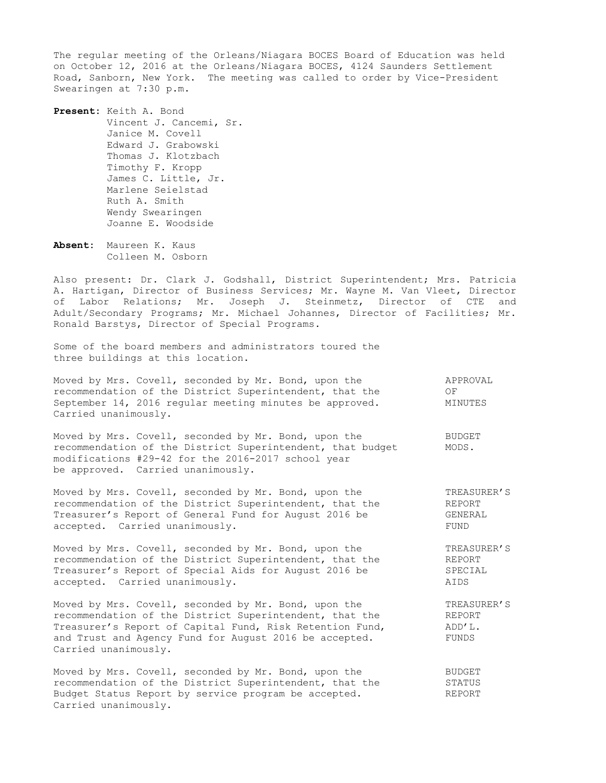The regular meeting of the Orleans/Niagara BOCES Board of Education was held on October 12, 2016 at the Orleans/Niagara BOCES, 4124 Saunders Settlement Road, Sanborn, New York. The meeting was called to order by Vice-President Swearingen at 7:30 p.m.

**Present:** Keith A. Bond Vincent J. Cancemi, Sr. Janice M. Covell Edward J. Grabowski Thomas J. Klotzbach Timothy F. Kropp James C. Little, Jr. Marlene Seielstad Ruth A. Smith Wendy Swearingen Joanne E. Woodside

**Absent:** Maureen K. Kaus Colleen M. Osborn

Also present: Dr. Clark J. Godshall, District Superintendent; Mrs. Patricia A. Hartigan, Director of Business Services; Mr. Wayne M. Van Vleet, Director of Labor Relations; Mr. Joseph J. Steinmetz, Director of CTE and Adult/Secondary Programs; Mr. Michael Johannes, Director of Facilities; Mr. Ronald Barstys, Director of Special Programs.

Some of the board members and administrators toured the three buildings at this location.

|                      | Moved by Mrs. Covell, seconded by Mr. Bond, upon the    | APPROVAL |
|----------------------|---------------------------------------------------------|----------|
|                      | recommendation of the District Superintendent, that the | OF.      |
|                      | September 14, 2016 regular meeting minutes be approved. | MINUTES  |
| Carried unanimously. |                                                         |          |

Moved by Mrs. Covell, seconded by Mr. Bond, upon the BUDGET recommendation of the District Superintendent, that budget MODS. modifications #29-42 for the 2016-2017 school year be approved. Carried unanimously.

Moved by Mrs. Covell, seconded by Mr. Bond, upon the TREASURER'S recommendation of the District Superintendent, that the REPORT Treasurer's Report of General Fund for August 2016 be GENERAL accepted. Carried unanimously. The contract of the set of the set of the set of the set of the set of the set of the set of the set of the set of the set of the set of the set of the set of the set of the set of the set of

Moved by Mrs. Covell, seconded by Mr. Bond, upon the TREASURER'S recommendation of the District Superintendent, that the REPORT Treasurer's Report of Special Aids for August 2016 be SPECIAL accepted. Carried unanimously. AIDS

Moved by Mrs. Covell, seconded by Mr. Bond, upon the TREASURER'S<br>recommendation of the District Superintendent, that the REPORT recommendation of the District Superintendent, that the REPORT<br>Treasurer's Report of Capital Fund, Risk Retention Fund, ADD'L. Treasurer's Report of Capital Fund, Risk Retention Fund, and Trust and Agency Fund for August 2016 be accepted. FUNDS Carried unanimously.

Moved by Mrs. Covell, seconded by Mr. Bond, upon the BUDGET recommendation of the District Superintendent, that the STATUS<br>Budget Status Report by service program be accepted. REPORT Budget Status Report by service program be accepted. Carried unanimously.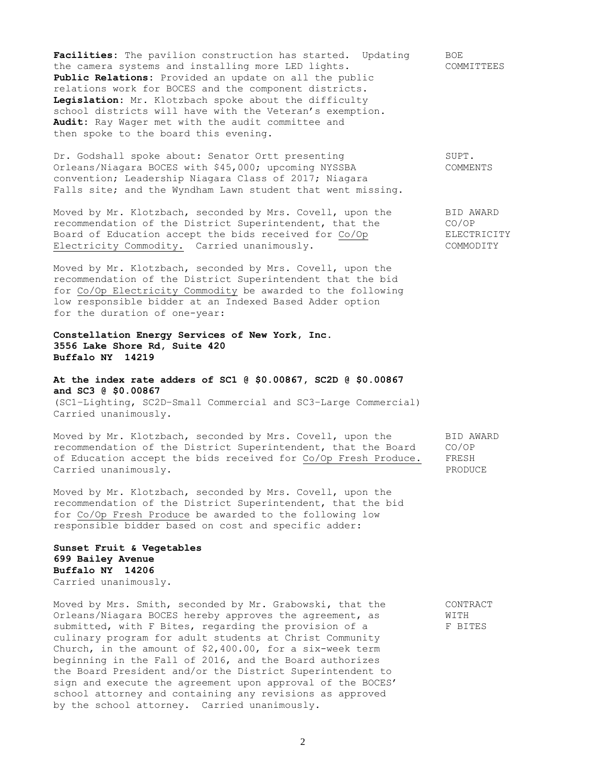Facilities: The pavilion construction has started. Updating BOE the camera systems and installing more LED lights. COMMITTEES **Public Relations:** Provided an update on all the public relations work for BOCES and the component districts. **Legislation:** Mr. Klotzbach spoke about the difficulty school districts will have with the Veteran's exemption. **Audit:** Ray Wager met with the audit committee and then spoke to the board this evening.

Dr. Godshall spoke about: Senator Ortt presenting SUPT. Orleans/Niagara BOCES with \$45,000; upcoming NYSSBA COMMENTS convention; Leadership Niagara Class of 2017; Niagara Falls site; and the Wyndham Lawn student that went missing.

Moved by Mr. Klotzbach, seconded by Mrs. Covell, upon the BID AWARD recommendation of the District Superintendent, that the CO/OP<br>Board of Education accept the bids received for Co/Op ELECTRICITY Board of Education accept the bids received for Co/Op Electricity Commodity. Carried unanimously. The commodity commodity commodity of the commodity of the commodity of the commodity of the commodity of the commodity.

Moved by Mr. Klotzbach, seconded by Mrs. Covell, upon the recommendation of the District Superintendent that the bid for Co/Op Electricity Commodity be awarded to the following low responsible bidder at an Indexed Based Adder option for the duration of one-year:

**Constellation Energy Services of New York, Inc. 3556 Lake Shore Rd, Suite 420 Buffalo NY 14219**

**At the index rate adders of SC1 @ \$0.00867, SC2D @ \$0.00867 and SC3 @ \$0.00867** (SC1–Lighting, SC2D–Small Commercial and SC3–Large Commercial) Carried unanimously.

Moved by Mr. Klotzbach, seconded by Mrs. Covell, upon the BID AWARD recommendation of the District Superintendent, that the Board CO/OP of Education accept the bids received for Co/Op Fresh Produce. FRESH Carried unanimously. The contract of the contract of the contract of the contract of the contract of the contract of the contract of the contract of the contract of the contract of the contract of the contract of the contr

Moved by Mr. Klotzbach, seconded by Mrs. Covell, upon the recommendation of the District Superintendent, that the bid for Co/Op Fresh Produce be awarded to the following low responsible bidder based on cost and specific adder:

## **Sunset Fruit & Vegetables 699 Bailey Avenue Buffalo NY 14206** Carried unanimously.

Moved by Mrs. Smith, seconded by Mr. Grabowski, that the CONTRACT Orleans/Niagara BOCES hereby approves the agreement, as WITH submitted, with F Bites, regarding the provision of a F BITES culinary program for adult students at Christ Community Church, in the amount of \$2,400.00, for a six-week term beginning in the Fall of 2016, and the Board authorizes the Board President and/or the District Superintendent to sign and execute the agreement upon approval of the BOCES' school attorney and containing any revisions as approved by the school attorney. Carried unanimously.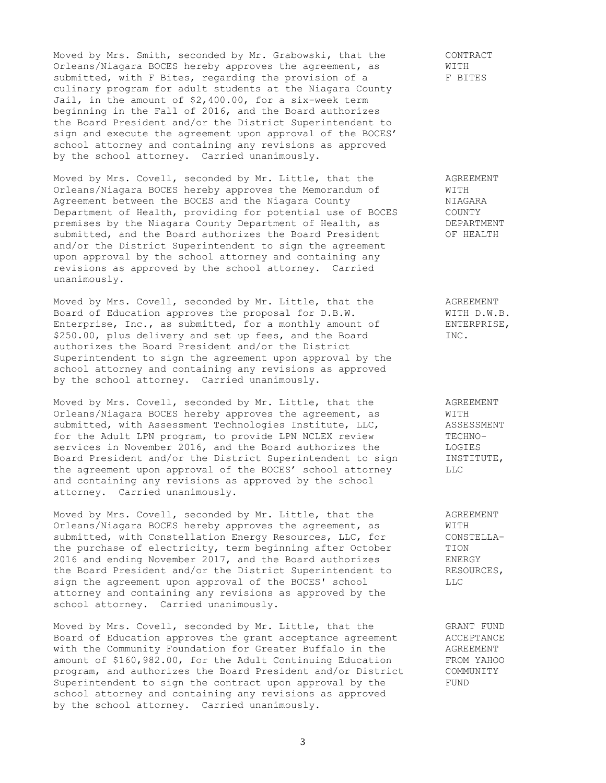Moved by Mrs. Smith, seconded by Mr. Grabowski, that the CONTRACT<br>Orleans/Niagara BOCES hereby approves the agreement, as WITH Orleans/Niagara BOCES hereby approves the agreement, as submitted, with F Bites, regarding the provision of a F BITES culinary program for adult students at the Niagara County Jail, in the amount of \$2,400.00, for a six-week term beginning in the Fall of 2016, and the Board authorizes the Board President and/or the District Superintendent to sign and execute the agreement upon approval of the BOCES' school attorney and containing any revisions as approved by the school attorney. Carried unanimously.

Moved by Mrs. Covell, seconded by Mr. Little, that the AGREEMENT Orleans/Niagara BOCES hereby approves the Memorandum of WITH Agreement between the BOCES and the Niagara County MIAGARA Department of Health, providing for potential use of BOCES COUNTY<br>premises by the Niagara County Department of Health, as DEPARTMENT premises by the Niagara County Department of Health, as submitted, and the Board authorizes the Board President OF HEALTH and/or the District Superintendent to sign the agreement upon approval by the school attorney and containing any revisions as approved by the school attorney. Carried unanimously.

Moved by Mrs. Covell, seconded by Mr. Little, that the AGREEMENT<br>Board of Education approves the proposal for D.B.W. WITH D.W.B.<br>Enterprise, Inc., as submitted, for a monthly amount of ENTERPRISE, Board of Education approves the proposal for D.B.W. Enterprise, Inc., as submitted, for a monthly amount of \$250.00, plus delivery and set up fees, and the Board INC. authorizes the Board President and/or the District Superintendent to sign the agreement upon approval by the school attorney and containing any revisions as approved by the school attorney. Carried unanimously.

Moved by Mrs. Covell, seconded by Mr. Little, that the  $\overline{A}$  AGREEMENT Orleans/Niagara BOCES hereby approves the agreement, as WITH submitted, with Assessment Technologies Institute, LLC, ASSESSMENT for the Adult LPN program, to provide LPN NCLEX review TECHNOservices in November 2016, and the Board authorizes the LOGIES Bervices in November 2010, and the 2011 associates the Board President and/or the District Superintendent to sign INSTITUTE, the agreement upon approval of the BOCES' school attorney LLC and containing any revisions as approved by the school attorney. Carried unanimously.

Moved by Mrs. Covell, seconded by Mr. Little, that the AGREEMENT Orleans/Niagara BOCES hereby approves the agreement, as WITH submitted, with Constellation Energy Resources, LLC, for CONSTELLA-<br>the purchase of electricity, term beginning after October TION the purchase of electricity, term beginning after October 2016 and ending November 2017, and the Board authorizes ENERGY the Board President and/or the District Superintendent to RESOURCES, sign the agreement upon approval of the BOCES' school LLC attorney and containing any revisions as approved by the school attorney. Carried unanimously.

Moved by Mrs. Covell, seconded by Mr. Little, that the GRANT FUND<br>Board of Education approves the grant acceptance agreement ACCEPTANCE Moved by Mis. Covell, Secondon  $\omega_1$  ....  $\omega$  ceptance agreement Board of Education approves the grant acceptance agreement with the Community Foundation for Greater Buffalo in the AGREEMENT amount of \$160,982.00, for the Adult Continuing Education FROM YAHOO program, and authorizes the Board President and/or District COMMUNITY Superintendent to sign the contract upon approval by the FUND school attorney and containing any revisions as approved by the school attorney. Carried unanimously.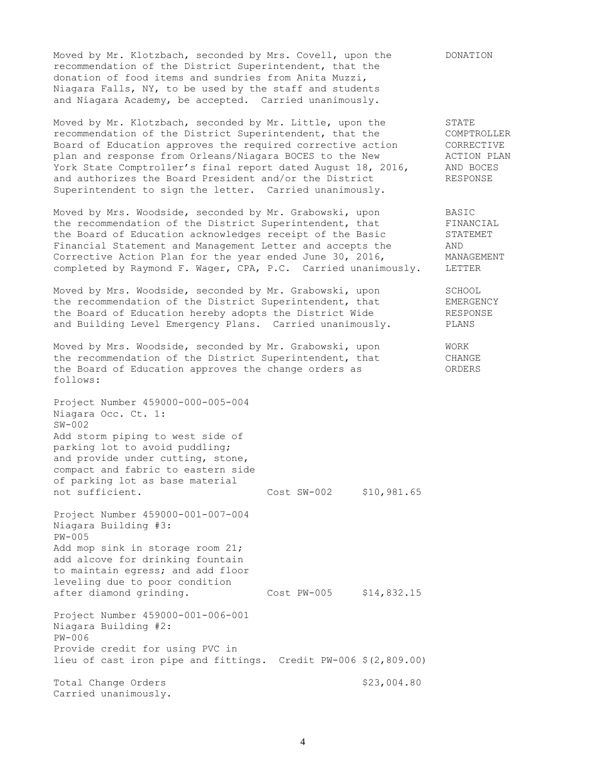Moved by Mr. Klotzbach, seconded by Mrs. Covell, upon the DONATION recommendation of the District Superintendent, that the donation of food items and sundries from Anita Muzzi, Niagara Falls, NY, to be used by the staff and students and Niagara Academy, be accepted. Carried unanimously.

Moved by Mr. Klotzbach, seconded by Mr. Little, upon the STATE recommendation of the District Superintendent, that the COMPTROLLER Board of Education approves the required corrective action CORRECTIVE plan and response from Orleans/Niagara BOCES to the New MCTION PLAN York State Comptroller's final report dated August 18, 2016, AND BOCES and authorizes the Board President and/or the District RESPONSE Superintendent to sign the letter. Carried unanimously.

Moved by Mrs. Woodside, seconded by Mr. Grabowski, upon BASIC the recommendation of the District Superintendent, that FINANCIAL<br>the Board of Education acknowledges receipt of the Basic STATEMET the Board of Education acknowledges receipt of the Basic STAT<br>Financial Statement and Management Letter and accepts the AND Financial Statement and Management Letter and accepts the AND Corrective Action Plan for the year ended June 30, 2016, MANAGEMENT completed by Raymond F. Wager, CPA, P.C. Carried unanimously. LETTER

Moved by Mrs. Woodside, seconded by Mr. Grabowski, upon SCHOOL the recommendation of the District Superintendent, that EMERGENCY the Board of Education hereby adopts the District Wide RESPONSE and Building Level Emergency Plans. Carried unanimously. PLANS

Moved by Mrs. Woodside, seconded by Mr. Grabowski, upon WORK the recommendation of the District Superintendent, that CHANGE the Board of Education approves the change orders as ORDERS follows:

Project Number 459000-000-005-004 Niagara Occ. Ct. 1: SW-002 Add storm piping to west side of parking lot to avoid puddling; and provide under cutting, stone, compact and fabric to eastern side of parking lot as base material not sufficient. Cost SW-002 \$10,981.65 Project Number 459000-001-007-004

Niagara Building #3: PW-005 Add mop sink in storage room 21; add alcove for drinking fountain to maintain egress; and add floor leveling due to poor condition after diamond grinding. Cost PW-005 \$14,832.15

Project Number 459000-001-006-001 Niagara Building #2: PW-006 Provide credit for using PVC in lieu of cast iron pipe and fittings. Credit PW-006 \$(2,809.00) Total Change Orders  $$23,004.80$ Carried unanimously.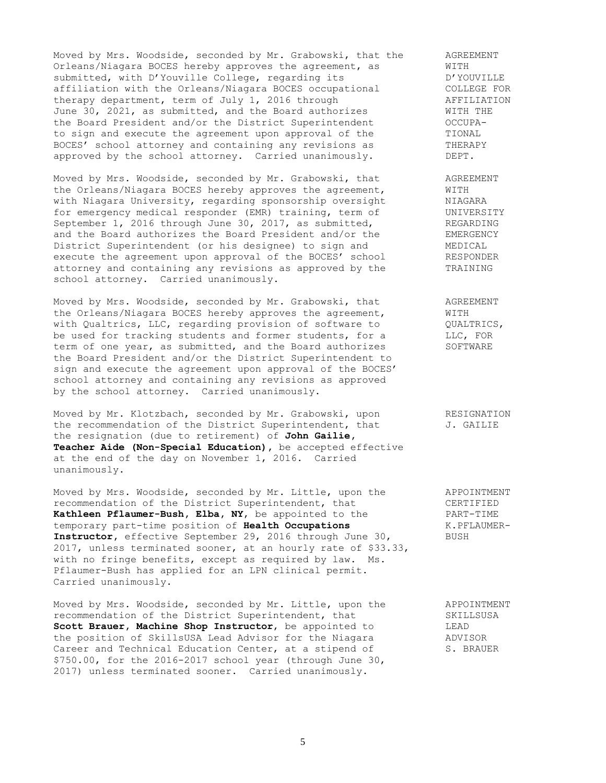Moved by Mrs. Woodside, seconded by Mr. Grabowski, that the AGREEMENT Orleans/Niagara BOCES hereby approves the agreement, as WITH Orleans/Niagara BOCES hereby approves the agreement, as WITH<br>submitted, with D'Youville College, regarding its D'YOUVILLE submitted, with D'Youville College, regarding its affiliation with the Orleans/Niagara BOCES occupational COLLEGE FOR<br>therapy department, term of July 1, 2016 through AFFILIATION therapy department, term of July 1, 2016 through Theory AFFILIATION June 30, 2021, as submitted, and the Board authorizes WITH THE the Board President and/or the District Superintendent OCCUPAto sign and execute the agreement upon approval of the TIONAL BOCES' school attorney and containing any revisions as THERAPY approved by the school attorney. Carried unanimously.  $DEPT$ .

Moved by Mrs. Woodside, seconded by Mr. Grabowski, that AGREEMENT the Orleans/Niagara BOCES hereby approves the agreement, WITH with Niagara University, regarding sponsorship oversight NIAGARA for emergency medical responder (EMR) training, term of UNIVERSITY September 1, 2016 through June 30, 2017, as submitted, REGARDING and the Board authorizes the Board President and/or the EMERGENCY District Superintendent (or his designee) to sign and MEDICAL execute the agreement upon approval of the BOCES' school RESPONDER attorney and containing any revisions as approved by the TRAINING school attorney. Carried unanimously.

Moved by Mrs. Woodside, seconded by Mr. Grabowski, that AGREEMENT the Orleans/Niagara BOCES hereby approves the agreement, WITH with Qualtrics, LLC, regarding provision of software to  $QUALTRICS$ , be used for tracking students and former students, for a LLC, FOR term of one year, as submitted, and the Board authorizes SOFTWARE the Board President and/or the District Superintendent to sign and execute the agreement upon approval of the BOCES' school attorney and containing any revisions as approved by the school attorney. Carried unanimously.

Moved by Mr. Klotzbach, seconded by Mr. Grabowski, upon RESIGNATION the recommendation of the District Superintendent, that  $J.$  GAILIE the resignation (due to retirement) of **John Gailie, Teacher Aide (Non-Special Education),** be accepted effective at the end of the day on November 1, 2016. Carried unanimously.

Moved by Mrs. Woodside, seconded by Mr. Little, upon the APPOINTMENT recommendation of the District Superintendent, that CERTIFIED **Kathleen Pflaumer-Bush, Elba, NY**, be appointed to the PART-TIME temporary part-time position of **Health Occupations** K.PFLAUMER-Instructor, effective September 29, 2016 through June 30, BUSH 2017, unless terminated sooner, at an hourly rate of \$33.33, with no fringe benefits, except as required by law. Ms. Pflaumer-Bush has applied for an LPN clinical permit. Carried unanimously.

Moved by Mrs. Woodside, seconded by Mr. Little, upon the APPOINTMENT<br>recommendation of the District Superintendent, that SKILLSUSA recommendation of the District Superintendent, that SKILLSUSA **Scott Brauer, Machine Shop Instructor**, be appointed to LEAD the position of SkillsUSA Lead Advisor for the Niagara ADVISOR Career and Technical Education Center, at a stipend of S. BRAUER \$750.00, for the 2016-2017 school year (through June 30, 2017) unless terminated sooner. Carried unanimously.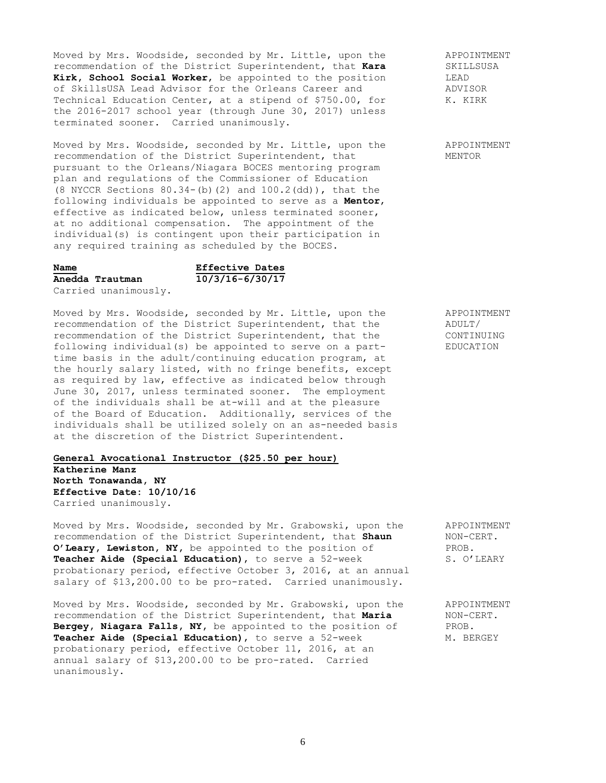Moved by Mrs. Woodside, seconded by Mr. Little, upon the APPOINTMENT recommendation of the District Superintendent, that **Kara** SKILLSUSA **Kirk, School Social Worker,** be appointed to the position LEAD LEAD<br>of SkillsUSA Lead Advisor for the Orleans Career and ADVISOR of SkillsUSA Lead Advisor for the Orleans Career and ADVISOR<br>Technical Education Center, at a stipend of \$750.00, for K. KIRK Technical Education Center, at a stipend of \$750.00, for the 2016-2017 school year (through June 30, 2017) unless terminated sooner. Carried unanimously.

Moved by Mrs. Woodside, seconded by Mr. Little, upon the APPOINTMENT recommendation of the District Superintendent, that MENTOR pursuant to the Orleans/Niagara BOCES mentoring program plan and regulations of the Commissioner of Education (8 NYCCR Sections 80.34-(b)(2) and 100.2(dd)), that the following individuals be appointed to serve as a **Mentor**, effective as indicated below, unless terminated sooner, at no additional compensation. The appointment of the individual(s) is contingent upon their participation in any required training as scheduled by the BOCES.

**Anedda Trautman 10/3/16-6/30/17**

**Name Effective Dates**

Carried unanimously.

Moved by Mrs. Woodside, seconded by Mr. Little, upon the APPOINTMENT<br>recommendation of the District Superintendent, that the ADULT/ recommendation of the District Superintendent, that the  $\frac{1}{2}$  ADULT/<br>recommendation of the District Superintendent, that the  $\frac{1}{2}$  CONTINUING recommendation of the District Superintendent, that the following individual(s) be appointed to serve on a part- EDUCATION time basis in the adult/continuing education program, at the hourly salary listed, with no fringe benefits, except as required by law, effective as indicated below through June 30, 2017, unless terminated sooner. The employment of the individuals shall be at-will and at the pleasure of the Board of Education. Additionally, services of the individuals shall be utilized solely on an as-needed basis at the discretion of the District Superintendent.

**General Avocational Instructor (\$25.50 per hour) Katherine Manz North Tonawanda, NY Effective Date: 10/10/16** Carried unanimously.

Moved by Mrs. Woodside, seconded by Mr. Grabowski, upon the APPOINTMENT recommendation of the District Superintendent, that **Shaun** NON-CERT. **O'Leary, Lewiston, NY,** be appointed to the position of PROB. **Teacher Aide (Special Education),** to serve a 52-week S. O'LEARY probationary period, effective October 3, 2016, at an annual salary of \$13,200.00 to be pro-rated. Carried unanimously.

Moved by Mrs. Woodside, seconded by Mr. Grabowski, upon the APPOINTMENT recommendation of the District Superintendent, that **Maria** NON-CERT. **Bergey, Niagara Falls, NY,** be appointed to the position of PROB. **Teacher Aide (Special Education)**, to serve a 52-week M. BERGEY probationary period, effective October 11, 2016, at an annual salary of \$13,200.00 to be pro-rated. Carried unanimously.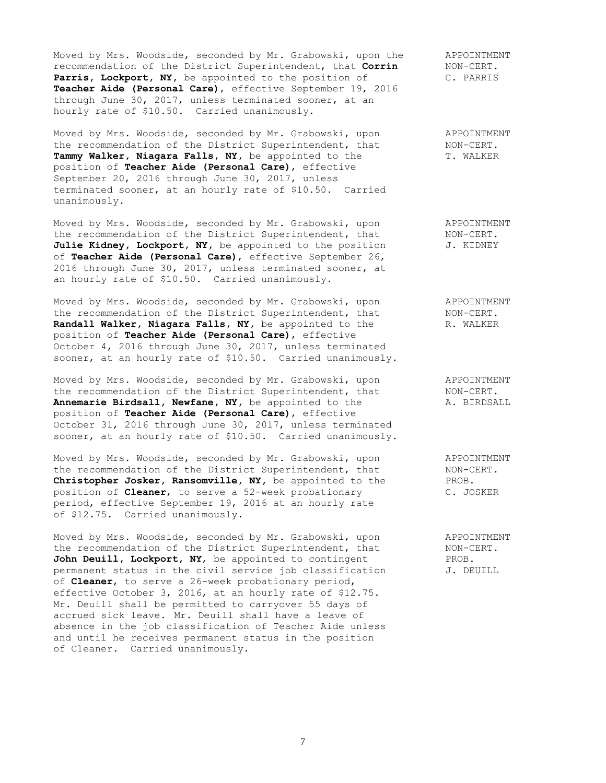Moved by Mrs. Woodside, seconded by Mr. Grabowski, upon the APPOINTMENT<br>recommendation of the District Superintendent, that Corrin MON-CERT. recommendation of the District Superintendent, that **Corrin** Parris, Lockport, NY, be appointed to the position of C. PARRIS **Teacher Aide (Personal Care)**, effective September 19, 2016 through June 30, 2017, unless terminated sooner, at an hourly rate of \$10.50. Carried unanimously.

Moved by Mrs. Woodside, seconded by Mr. Grabowski, upon APPOINTMENT Moved by Mrs. Woodside, seconded by Mr. Grabowski, upon applyintment<br>the recommendation of the District Superintendent, that NON-CERT.<br>Tammv Walker, Niagara Falls, NY, be appointed to the T. WALKER Tammy Walker, Niagara Falls, NY, be appointed to the position of **Teacher Aide (Personal Care)**, effective September 20, 2016 through June 30, 2017, unless terminated sooner, at an hourly rate of \$10.50. Carried unanimously.

Moved by Mrs. Woodside, seconded by Mr. Grabowski, upon a APPOINTMENT<br>the recommendation of the District Superintendent, that MON-CERT. the recommendation of the District Superintendent, that MON-CERT.<br>Julie Kidney, Lockport, NY, be appointed to the position J. KIDNEY Julie Kidney, Lockport, NY, be appointed to the position of **Teacher Aide (Personal Care)**, effective September 26, 2016 through June 30, 2017, unless terminated sooner, at an hourly rate of \$10.50. Carried unanimously.

Moved by Mrs. Woodside, seconded by Mr. Grabowski, upon APPOINTMENT the recommendation of the District Superintendent, that MON-CERT. Randall Walker, Niagara Falls, NY, be appointed to the R. WALKER position of **Teacher Aide (Personal Care)**, effective October 4, 2016 through June 30, 2017, unless terminated sooner, at an hourly rate of \$10.50. Carried unanimously.

Moved by Mrs. Woodside, seconded by Mr. Grabowski, upon appointment<br>the recommendation of the District Superintendent, that MON-CERT.<br>Annemarie Birdsall, Newfane, NY, be appointed to the A. BIRDSALL the recommendation of the District Superintendent, that Annemarie Birdsall, Newfane, NY, be appointed to the position of **Teacher Aide (Personal Care)**, effective October 31, 2016 through June 30, 2017, unless terminated sooner, at an hourly rate of \$10.50. Carried unanimously.

Moved by Mrs. Woodside, seconded by Mr. Grabowski, upon APPOINTMENT the recommendation of the District Superintendent, that MON-CERT.<br> **Christopher Josker, Ransomville, NY**, be appointed to the PROB. **Christopher Josker, Ransomville, NY,** be appointed to the PROB.<br>position of **Cleaner**, to serve a 52-week probationary C. JOSKER position of **Cleaner**, to serve a 52-week probationary period, effective September 19, 2016 at an hourly rate of \$12.75. Carried unanimously.

Moved by Mrs. Woodside, seconded by Mr. Grabowski, upon appoint APPOINTMENT<br>the recommendation of the District Superintendent, that MON-CERT. the recommendation of the District Superintendent, that John Deuill, Lockport, NY, be appointed to contingent PROB. permanent status in the civil service job classification J. DEUILL of **Cleaner**, to serve a 26-week probationary period, effective October 3, 2016, at an hourly rate of \$12.75. Mr. Deuill shall be permitted to carryover 55 days of accrued sick leave.Mr. Deuill shall have a leave of absence in the job classification of Teacher Aide unless and until he receives permanent status in the position of Cleaner. Carried unanimously.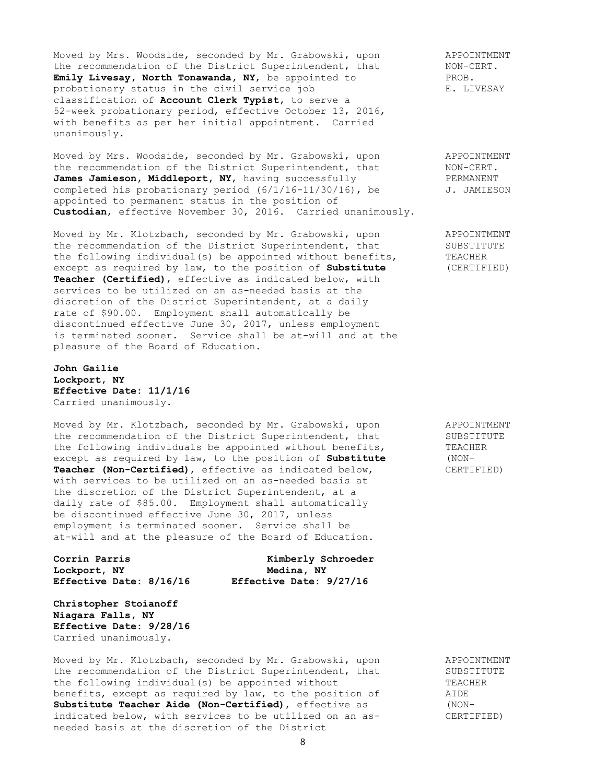Moved by Mrs. Woodside, seconded by Mr. Grabowski, upon and APPOINTMENT the recommendation of the District Superintendent, that MON-CERT. **Emily Livesay, North Tonawanda, NY,** be appointed to PROB. PROB.<br>probationary status in the civil service job B. LIVESAY probationary status in the civil service job classification of **Account Clerk Typist,** to serve a 52-week probationary period, effective October 13, 2016, with benefits as per her initial appointment. Carried unanimously.

Moved by Mrs. Woodside, seconded by Mr. Grabowski, upon and APPOINTMENT the recommendation of the District Superintendent, that MON-CERT. James Jamieson, Middleport, NY, having successfully **PERMANENT** completed his probationary period  $(6/1/16-11/30/16)$ , be  $J.$  JAMIESON appointed to permanent status in the position of **Custodian**, effective November 30, 2016. Carried unanimously.

Moved by Mr. Klotzbach, seconded by Mr. Grabowski, upon and APPOINTMENT the recommendation of the District Superintendent, that SUBSTITUTE the following individual(s) be appointed without benefits, TEACHER except as required by law, to the position of **Substitute** (CERTIFIED) **Teacher (Certified)**, effective as indicated below, with services to be utilized on an as-needed basis at the discretion of the District Superintendent, at a daily rate of \$90.00. Employment shall automatically be discontinued effective June 30, 2017, unless employment is terminated sooner. Service shall be at-will and at the pleasure of the Board of Education.

**John Gailie Lockport, NY Effective Date: 11/1/16** Carried unanimously.

Moved by Mr. Klotzbach, seconded by Mr. Grabowski, upon APPOINTMENT the recommendation of the District Superintendent, that SUBSTITUTE the following individuals be appointed without benefits, TEACHER<br>except as required by law, to the position of **Substitute** (NONexcept as required by law, to the position of **Substitute** (NON-<br>**Teacher (Non-Certified)**, effective as indicated below, CERTIFIED) Teacher (Non-Certified), effective as indicated below, with services to be utilized on an as-needed basis at the discretion of the District Superintendent, at a daily rate of \$85.00. Employment shall automatically be discontinued effective June 30, 2017, unless employment is terminated sooner. Service shall be at-will and at the pleasure of the Board of Education.

**Lockport, NY Medina, NY Effective Date: 8/16/16 Effective Date: 9/27/16**

**Corrin Parris Kimberly Schroeder**

**Christopher Stoianoff Niagara Falls, NY Effective Date: 9/28/16** Carried unanimously.

Moved by Mr. Klotzbach, seconded by Mr. Grabowski, upon APPOINTMENT the recommendation of the District Superintendent, that SUBSTITUTE the following individual(s) be appointed without TEACHER benefits, except as required by law, to the position of  $\hskip 1.6cm$  AIDE **Substitute Teacher Aide (Non-Certified)**, effective as (NONindicated below, with services to be utilized on an as- CERTIFIED) needed basis at the discretion of the District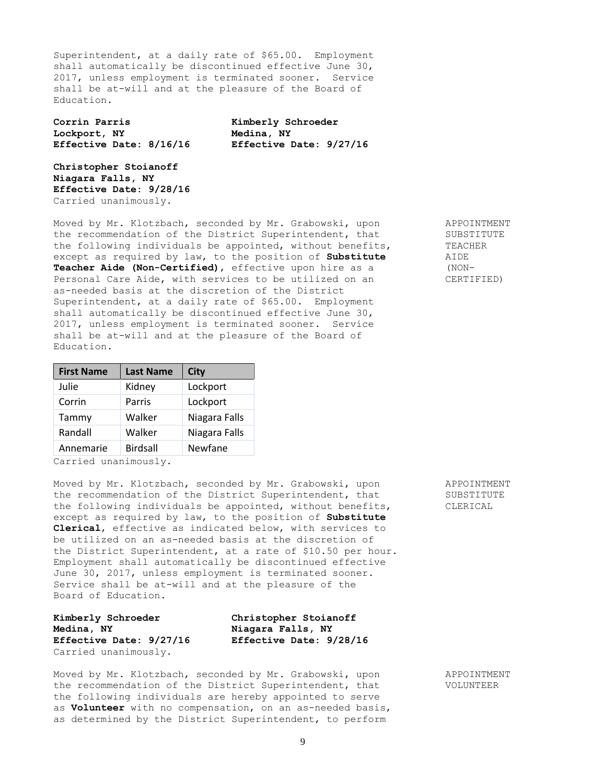Superintendent, at a daily rate of \$65.00. Employment shall automatically be discontinued effective June 30, 2017, unless employment is terminated sooner. Service shall be at-will and at the pleasure of the Board of Education.

**Corrin Parris Kimberly Schroeder Lockport, NY Medina, NY**

**Effective Date: 8/16/16 Effective Date: 9/27/16**

**Christopher Stoianoff Niagara Falls, NY Effective Date: 9/28/16** Carried unanimously.

Moved by Mr. Klotzbach, seconded by Mr. Grabowski, upon APPOINTMENT the recommendation of the District Superintendent, that SUBSTITUTE<br>the following individuals be appointed, without benefits, TEACHER the following individuals be appointed, without benefits, TEACHERRON TEACHERRON except as required by law, to the position of **Substitute** except as required by law, to the position of Substitute **Teacher Aide (Non-Certified)**, effective upon hire as a (NON-Personal Care Aide, with services to be utilized on an CERTIFIED) as-needed basis at the discretion of the District Superintendent, at a daily rate of \$65.00. Employment shall automatically be discontinued effective June 30, 2017, unless employment is terminated sooner. Service shall be at-will and at the pleasure of the Board of Education.

| <b>First Name</b> | <b>Last Name</b> | <b>City</b>   |  |
|-------------------|------------------|---------------|--|
| Julie             | Kidney           | Lockport      |  |
| Corrin            | Parris           | Lockport      |  |
| Tammy             | Walker           | Niagara Falls |  |
| Randall           | Walker           | Niagara Falls |  |
| Annemarie         | <b>Birdsall</b>  | Newfane       |  |
|                   |                  |               |  |

Carried unanimously.

Moved by Mr. Klotzbach, seconded by Mr. Grabowski, upon APPOINTMENT the recommendation of the District Superintendent, that SUBSTITUTE the following individuals be appointed, without benefits, CLERICAL except as required by law, to the position of **Substitute Clerical**, effective as indicated below, with services to be utilized on an as-needed basis at the discretion of the District Superintendent, at a rate of \$10.50 per hour. Employment shall automatically be discontinued effective June 30, 2017, unless employment is terminated sooner. Service shall be at-will and at the pleasure of the Board of Education.

| Kimberly Schroeder      | Christopher Stoianoff   |  |
|-------------------------|-------------------------|--|
| Medina, NY              | Niagara Falls, NY       |  |
| Effective Date: 9/27/16 | Effective Date: 9/28/16 |  |
| Carried unanimously.    |                         |  |

Moved by Mr. Klotzbach, seconded by Mr. Grabowski, upon APPOINTMENT the recommendation of the District Superintendent, that VOLUNTEER the following individuals are hereby appointed to serve as **Volunteer** with no compensation, on an as-needed basis, as determined by the District Superintendent, to perform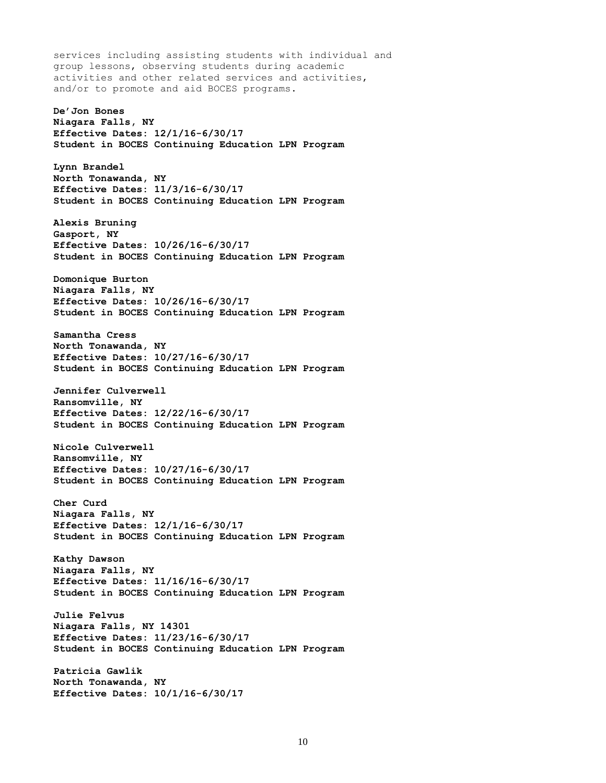services including assisting students with individual and group lessons, observing students during academic activities and other related services and activities, and/or to promote and aid BOCES programs. **De'Jon Bones Niagara Falls, NY Effective Dates: 12/1/16-6/30/17 Student in BOCES Continuing Education LPN Program Lynn Brandel North Tonawanda, NY Effective Dates: 11/3/16-6/30/17 Student in BOCES Continuing Education LPN Program Alexis Bruning Gasport, NY Effective Dates: 10/26/16-6/30/17 Student in BOCES Continuing Education LPN Program Domonique Burton Niagara Falls, NY Effective Dates: 10/26/16-6/30/17 Student in BOCES Continuing Education LPN Program Samantha Cress North Tonawanda, NY Effective Dates: 10/27/16-6/30/17 Student in BOCES Continuing Education LPN Program Jennifer Culverwell Ransomville, NY Effective Dates: 12/22/16-6/30/17 Student in BOCES Continuing Education LPN Program Nicole Culverwell Ransomville, NY Effective Dates: 10/27/16-6/30/17 Student in BOCES Continuing Education LPN Program Cher Curd Niagara Falls, NY Effective Dates: 12/1/16-6/30/17 Student in BOCES Continuing Education LPN Program Kathy Dawson Niagara Falls, NY Effective Dates: 11/16/16-6/30/17 Student in BOCES Continuing Education LPN Program Julie Felvus Niagara Falls, NY 14301 Effective Dates: 11/23/16-6/30/17 Student in BOCES Continuing Education LPN Program Patricia Gawlik North Tonawanda, NY Effective Dates: 10/1/16-6/30/17**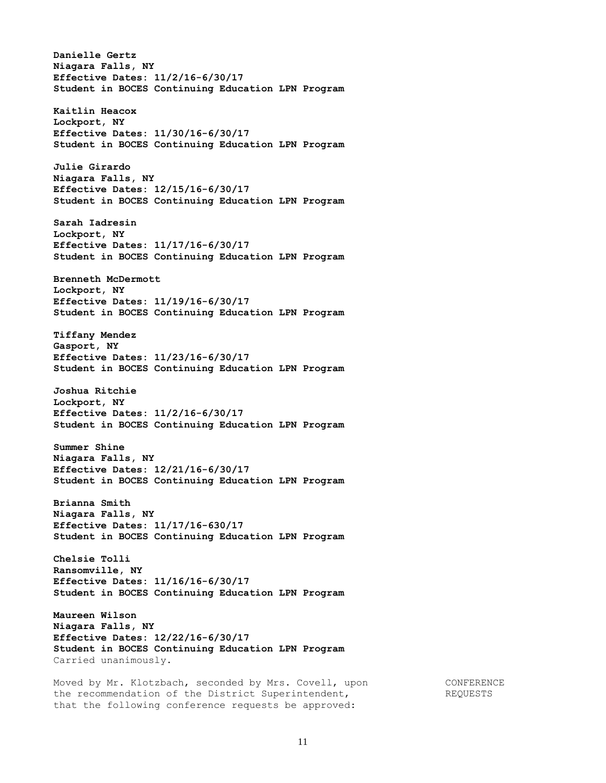**Danielle Gertz Niagara Falls, NY Effective Dates: 11/2/16-6/30/17 Student in BOCES Continuing Education LPN Program Kaitlin Heacox Lockport, NY Effective Dates: 11/30/16-6/30/17 Student in BOCES Continuing Education LPN Program Julie Girardo Niagara Falls, NY Effective Dates: 12/15/16-6/30/17 Student in BOCES Continuing Education LPN Program Sarah Iadresin Lockport, NY Effective Dates: 11/17/16-6/30/17 Student in BOCES Continuing Education LPN Program Brenneth McDermott Lockport, NY Effective Dates: 11/19/16-6/30/17 Student in BOCES Continuing Education LPN Program Tiffany Mendez Gasport, NY Effective Dates: 11/23/16-6/30/17 Student in BOCES Continuing Education LPN Program Joshua Ritchie Lockport, NY Effective Dates: 11/2/16-6/30/17 Student in BOCES Continuing Education LPN Program Summer Shine Niagara Falls, NY Effective Dates: 12/21/16-6/30/17 Student in BOCES Continuing Education LPN Program Brianna Smith Niagara Falls, NY Effective Dates: 11/17/16-630/17 Student in BOCES Continuing Education LPN Program Chelsie Tolli Ransomville, NY Effective Dates: 11/16/16-6/30/17 Student in BOCES Continuing Education LPN Program Maureen Wilson Niagara Falls, NY Effective Dates: 12/22/16-6/30/17 Student in BOCES Continuing Education LPN Program** Carried unanimously. Moved by Mr. Klotzbach, seconded by Mrs. Covell, upon CONFERENCE the recommendation of the District Superintendent, The REQUESTS

that the following conference requests be approved: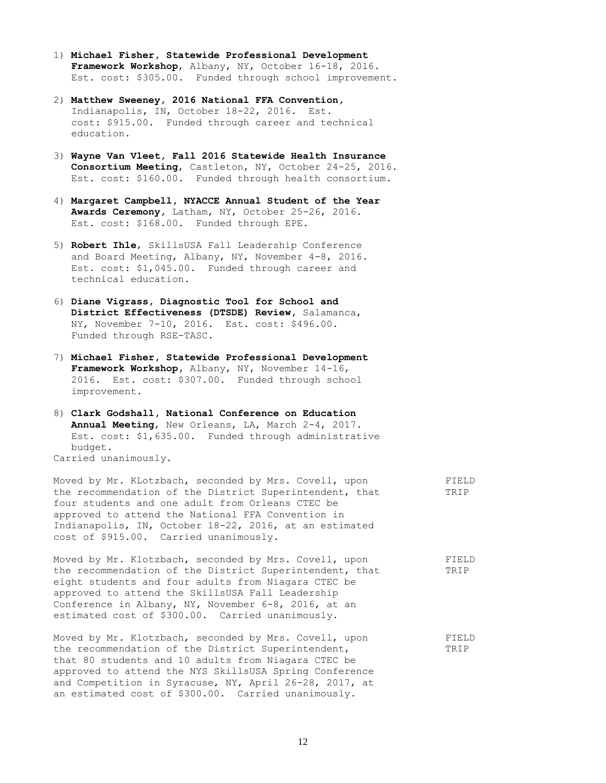- 1) **Michael Fisher, Statewide Professional Development Framework Workshop**, Albany, NY, October 16-18, 2016. Est. cost: \$305.00. Funded through school improvement.
- 2) **Matthew Sweeney, 2016 National FFA Convention,** Indianapolis, IN, October 18-22, 2016. Est. cost: \$915.00. Funded through career and technical education.
- 3) **Wayne Van Vleet, Fall 2016 Statewide Health Insurance Consortium Meeting**, Castleton, NY, October 24-25, 2016. Est. cost: \$160.00. Funded through health consortium.
- 4) **Margaret Campbell, NYACCE Annual Student of the Year Awards Ceremony,** Latham, NY, October 25-26, 2016. Est. cost: \$168.00. Funded through EPE.
- 5) **Robert Ihle**, SkillsUSA Fall Leadership Conference and Board Meeting, Albany, NY, November 4-8, 2016. Est. cost: \$1,045.00. Funded through career and technical education.
- 6) **Diane Vigrass, Diagnostic Tool for School and District Effectiveness (DTSDE) Review,** Salamanca, NY, November 7-10, 2016. Est. cost: \$496.00. Funded through RSE-TASC.
- 7) **Michael Fisher, Statewide Professional Development Framework Workshop,** Albany, NY, November 14-16, 2016. Est. cost: \$307.00. Funded through school improvement.
- 8) **Clark Godshall, National Conference on Education Annual Meeting**, New Orleans, LA, March 2-4, 2017. Est. cost: \$1,635.00. Funded through administrative budget. Carried unanimously.

Moved by Mr. KLotzbach, seconded by Mrs. Covell, upon FIELD the recommendation of the District Superintendent, that TRIP four students and one adult from Orleans CTEC be approved to attend the National FFA Convention in Indianapolis, IN, October 18-22, 2016, at an estimated cost of \$915.00. Carried unanimously. Moved by Mr. Klotzbach, seconded by Mrs. Covell, upon FIELD

the recommendation of the District Superintendent, that TRIP eight students and four adults from Niagara CTEC be approved to attend the SkillsUSA Fall Leadership Conference in Albany, NY, November 6-8, 2016, at an estimated cost of \$300.00. Carried unanimously.

Moved by Mr. Klotzbach, seconded by Mrs. Covell, upon FIELD the recommendation of the District Superintendent, TRIP that 80 students and 10 adults from Niagara CTEC be approved to attend the NYS SkillsUSA Spring Conference and Competition in Syracuse, NY, April 26-28, 2017, at an estimated cost of \$300.00. Carried unanimously.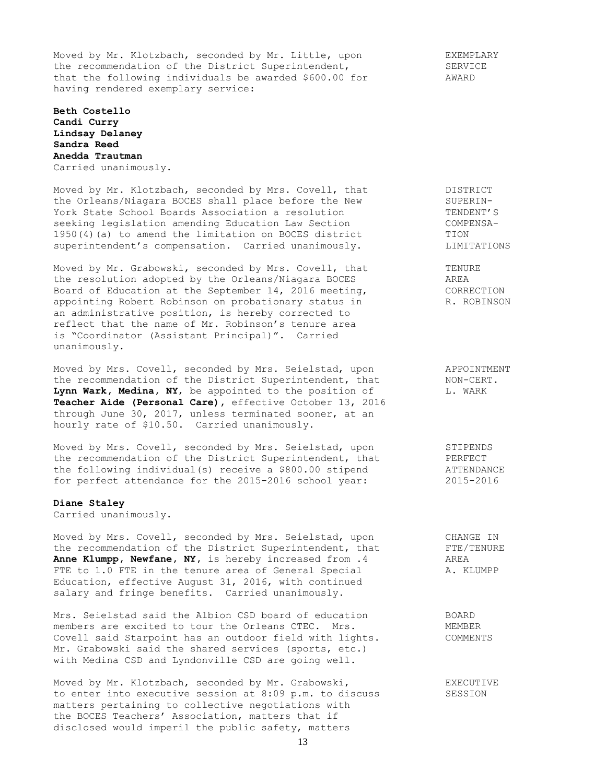Moved by Mr. Klotzbach, seconded by Mr. Little, upon The EXEMPLARY the recommendation of the District Superintendent, SERVICE that the following individuals be awarded \$600.00 for AWARD having rendered exemplary service:

**Beth Costello Candi Curry Lindsay Delaney Sandra Reed Anedda Trautman** Carried unanimously.

Moved by Mr. Klotzbach, seconded by Mrs. Covell, that THISTRICT the Orleans/Niagara BOCES shall place before the New SUPERIN-York State School Boards Association a resolution TENDENT'S seeking legislation amending Education Law Section COMPENSA-1950(4)(a) to amend the limitation on BOCES district TION superintendent's compensation. Carried unanimously. LIMITATIONS

Moved by Mr. Grabowski, seconded by Mrs. Covell, that TENURE the resolution adopted by the Orleans/Niagara BOCES AREA Board of Education at the September 14, 2016 meeting, CORRECTION appointing Robert Robinson on probationary status in The R. ROBINSON an administrative position, is hereby corrected to reflect that the name of Mr. Robinson's tenure area is "Coordinator (Assistant Principal)". Carried unanimously.

Moved by Mrs. Covell, seconded by Mrs. Seielstad, upon a APPOINTMENT<br>the recommendation of the District Superintendent, that MON-CERT.<br>Lynn Wark, Medina, NY, be appointed to the position of L. WARK the recommendation of the District Superintendent, that Lynn Wark, Medina, NY, be appointed to the position of **Teacher Aide (Personal Care),** effective October 13, 2016 through June 30, 2017, unless terminated sooner, at an hourly rate of \$10.50. Carried unanimously.

Moved by Mrs. Covell, seconded by Mrs. Seielstad, upon STIPENDS the recommendation of the District Superintendent, that PERFECT the following individual(s) receive a \$800.00 stipend ATTENDANCE for perfect attendance for the 2015-2016 school year: 2015-2016

## **Diane Staley**

Carried unanimously.

Moved by Mrs. Covell, seconded by Mrs. Seielstad, upon CHANGE IN the recommendation of the District Superintendent, that FTE/TENURE the recommendation of the District Superintendent, that FTE/TENURE<br> **Anne Klumpp, Newfane, NY,** is hereby increased from .4 AREA<br>
FTE to 1.0 FTE in the tenure area of General Special A. KLUMPP FTE to 1.0 FTE in the tenure area of General Special Education, effective August 31, 2016, with continued salary and fringe benefits. Carried unanimously.

Mrs. Seielstad said the Albion CSD board of education BOARD members are excited to tour the Orleans CTEC. Mrs. The MEMBER Covell said Starpoint has an outdoor field with lights. COMMENTS Mr. Grabowski said the shared services (sports, etc.) with Medina CSD and Lyndonville CSD are going well.

Moved by Mr. Klotzbach, seconded by Mr. Grabowski, EXECUTIVE to enter into executive session at 8:09 p.m. to discuss SESSION matters pertaining to collective negotiations with the BOCES Teachers' Association, matters that if disclosed would imperil the public safety, matters